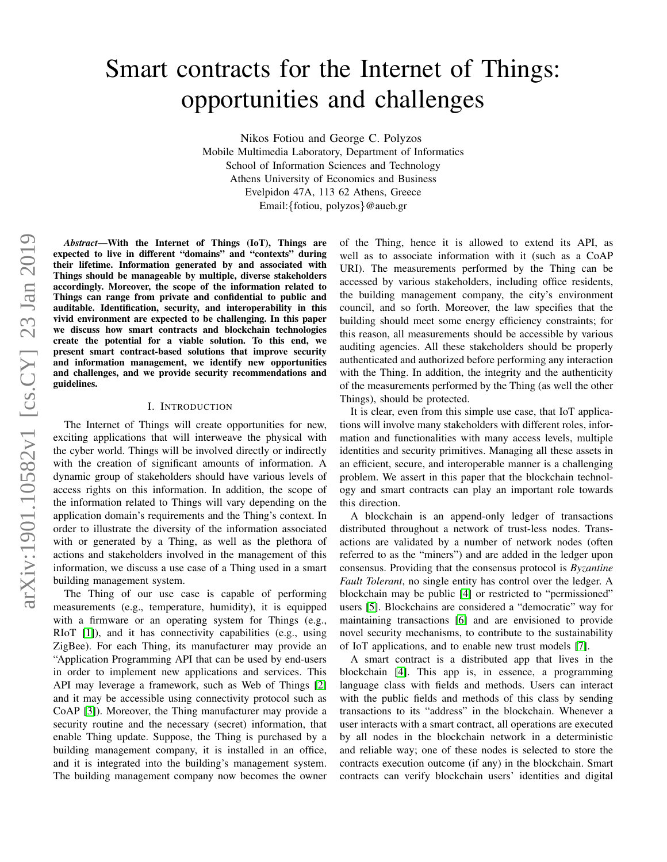# Smart contracts for the Internet of Things: opportunities and challenges

Nikos Fotiou and George C. Polyzos Mobile Multimedia Laboratory, Department of Informatics School of Information Sciences and Technology Athens University of Economics and Business Evelpidon 47A, 113 62 Athens, Greece Email:{fotiou, polyzos}@aueb.gr

*Abstract*—With the Internet of Things (IoT), Things are expected to live in different "domains" and "contexts" during their lifetime. Information generated by and associated with Things should be manageable by multiple, diverse stakeholders accordingly. Moreover, the scope of the information related to Things can range from private and confidential to public and auditable. Identification, security, and interoperability in this vivid environment are expected to be challenging. In this paper we discuss how smart contracts and blockchain technologies create the potential for a viable solution. To this end, we present smart contract-based solutions that improve security and information management, we identify new opportunities and challenges, and we provide security recommendations and guidelines.

## I. INTRODUCTION

The Internet of Things will create opportunities for new, exciting applications that will interweave the physical with the cyber world. Things will be involved directly or indirectly with the creation of significant amounts of information. A dynamic group of stakeholders should have various levels of access rights on this information. In addition, the scope of the information related to Things will vary depending on the application domain's requirements and the Thing's context. In order to illustrate the diversity of the information associated with or generated by a Thing, as well as the plethora of actions and stakeholders involved in the management of this information, we discuss a use case of a Thing used in a smart building management system.

The Thing of our use case is capable of performing measurements (e.g., temperature, humidity), it is equipped with a firmware or an operating system for Things (e.g., RIoT [\[1\]](#page-4-0)), and it has connectivity capabilities (e.g., using ZigBee). For each Thing, its manufacturer may provide an "Application Programming API that can be used by end-users in order to implement new applications and services. This API may leverage a framework, such as Web of Things [\[2\]](#page-4-1) and it may be accessible using connectivity protocol such as CoAP [\[3\]](#page-4-2)). Moreover, the Thing manufacturer may provide a security routine and the necessary (secret) information, that enable Thing update. Suppose, the Thing is purchased by a building management company, it is installed in an office, and it is integrated into the building's management system. The building management company now becomes the owner of the Thing, hence it is allowed to extend its API, as well as to associate information with it (such as a CoAP URI). The measurements performed by the Thing can be accessed by various stakeholders, including office residents, the building management company, the city's environment council, and so forth. Moreover, the law specifies that the building should meet some energy efficiency constraints; for this reason, all measurements should be accessible by various auditing agencies. All these stakeholders should be properly authenticated and authorized before performing any interaction with the Thing. In addition, the integrity and the authenticity of the measurements performed by the Thing (as well the other Things), should be protected.

It is clear, even from this simple use case, that IoT applications will involve many stakeholders with different roles, information and functionalities with many access levels, multiple identities and security primitives. Managing all these assets in an efficient, secure, and interoperable manner is a challenging problem. We assert in this paper that the blockchain technology and smart contracts can play an important role towards this direction.

A blockchain is an append-only ledger of transactions distributed throughout a network of trust-less nodes. Transactions are validated by a number of network nodes (often referred to as the "miners") and are added in the ledger upon consensus. Providing that the consensus protocol is *Byzantine Fault Tolerant*, no single entity has control over the ledger. A blockchain may be public [\[4\]](#page-4-3) or restricted to "permissioned" users [\[5\]](#page-4-4). Blockchains are considered a "democratic" way for maintaining transactions [\[6\]](#page-4-5) and are envisioned to provide novel security mechanisms, to contribute to the sustainability of IoT applications, and to enable new trust models [\[7\]](#page-4-6).

A smart contract is a distributed app that lives in the blockchain [\[4\]](#page-4-3). This app is, in essence, a programming language class with fields and methods. Users can interact with the public fields and methods of this class by sending transactions to its "address" in the blockchain. Whenever a user interacts with a smart contract, all operations are executed by all nodes in the blockchain network in a deterministic and reliable way; one of these nodes is selected to store the contracts execution outcome (if any) in the blockchain. Smart contracts can verify blockchain users' identities and digital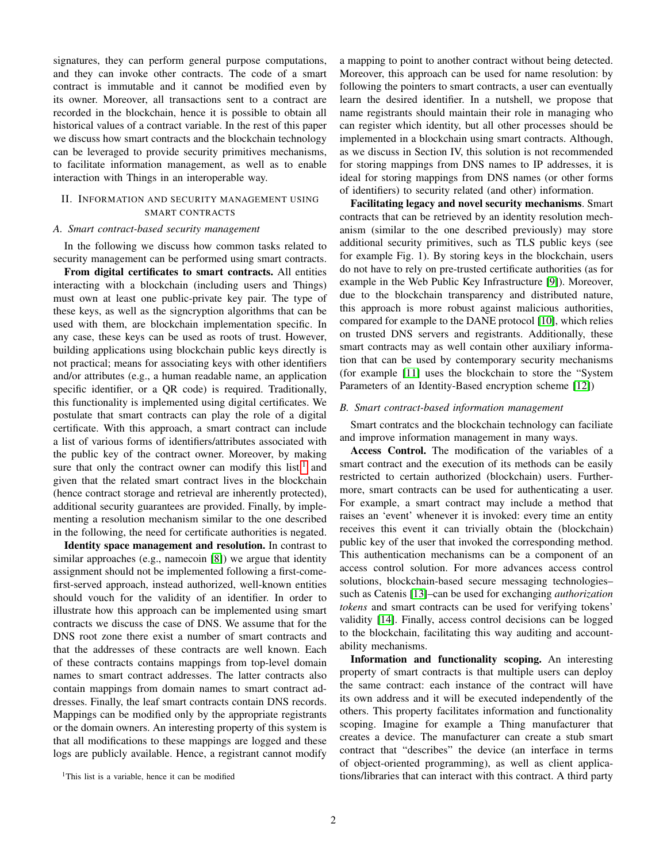signatures, they can perform general purpose computations, and they can invoke other contracts. The code of a smart contract is immutable and it cannot be modified even by its owner. Moreover, all transactions sent to a contract are recorded in the blockchain, hence it is possible to obtain all historical values of a contract variable. In the rest of this paper we discuss how smart contracts and the blockchain technology can be leveraged to provide security primitives mechanisms, to facilitate information management, as well as to enable interaction with Things in an interoperable way.

# II. INFORMATION AND SECURITY MANAGEMENT USING SMART CONTRACTS

#### *A. Smart contract-based security management*

In the following we discuss how common tasks related to security management can be performed using smart contracts.

From digital certificates to smart contracts. All entities interacting with a blockchain (including users and Things) must own at least one public-private key pair. The type of these keys, as well as the signcryption algorithms that can be used with them, are blockchain implementation specific. In any case, these keys can be used as roots of trust. However, building applications using blockchain public keys directly is not practical; means for associating keys with other identifiers and/or attributes (e.g., a human readable name, an application specific identifier, or a QR code) is required. Traditionally, this functionality is implemented using digital certificates. We postulate that smart contracts can play the role of a digital certificate. With this approach, a smart contract can include a list of various forms of identifiers/attributes associated with the public key of the contract owner. Moreover, by making sure that only the contract owner can modify this  $list, 1$  $list, 1$  and given that the related smart contract lives in the blockchain (hence contract storage and retrieval are inherently protected), additional security guarantees are provided. Finally, by implementing a resolution mechanism similar to the one described in the following, the need for certificate authorities is negated.

Identity space management and resolution. In contrast to similar approaches (e.g., namecoin [\[8\]](#page-4-7)) we argue that identity assignment should not be implemented following a first-comefirst-served approach, instead authorized, well-known entities should vouch for the validity of an identifier. In order to illustrate how this approach can be implemented using smart contracts we discuss the case of DNS. We assume that for the DNS root zone there exist a number of smart contracts and that the addresses of these contracts are well known. Each of these contracts contains mappings from top-level domain names to smart contract addresses. The latter contracts also contain mappings from domain names to smart contract addresses. Finally, the leaf smart contracts contain DNS records. Mappings can be modified only by the appropriate registrants or the domain owners. An interesting property of this system is that all modifications to these mappings are logged and these logs are publicly available. Hence, a registrant cannot modify

a mapping to point to another contract without being detected. Moreover, this approach can be used for name resolution: by following the pointers to smart contracts, a user can eventually learn the desired identifier. In a nutshell, we propose that name registrants should maintain their role in managing who can register which identity, but all other processes should be implemented in a blockchain using smart contracts. Although, as we discuss in Section IV, this solution is not recommended for storing mappings from DNS names to IP addresses, it is ideal for storing mappings from DNS names (or other forms of identifiers) to security related (and other) information.

Facilitating legacy and novel security mechanisms. Smart contracts that can be retrieved by an identity resolution mechanism (similar to the one described previously) may store additional security primitives, such as TLS public keys (see for example Fig. 1). By storing keys in the blockchain, users do not have to rely on pre-trusted certificate authorities (as for example in the Web Public Key Infrastructure [\[9\]](#page-4-8)). Moreover, due to the blockchain transparency and distributed nature, this approach is more robust against malicious authorities, compared for example to the DANE protocol [\[10\]](#page-4-9), which relies on trusted DNS servers and registrants. Additionally, these smart contracts may as well contain other auxiliary information that can be used by contemporary security mechanisms (for example [\[11\]](#page-4-10) uses the blockchain to store the "System Parameters of an Identity-Based encryption scheme [\[12\]](#page-4-11))

## *B. Smart contract-based information management*

Smart contratcs and the blockchain technology can faciliate and improve information management in many ways.

Access Control. The modification of the variables of a smart contract and the execution of its methods can be easily restricted to certain authorized (blockchain) users. Furthermore, smart contracts can be used for authenticating a user. For example, a smart contract may include a method that raises an 'event' whenever it is invoked: every time an entity receives this event it can trivially obtain the (blockchain) public key of the user that invoked the corresponding method. This authentication mechanisms can be a component of an access control solution. For more advances access control solutions, blockchain-based secure messaging technologies– such as Catenis [\[13\]](#page-4-12)–can be used for exchanging *authorization tokens* and smart contracts can be used for verifying tokens' validity [\[14\]](#page-5-0). Finally, access control decisions can be logged to the blockchain, facilitating this way auditing and accountability mechanisms.

Information and functionality scoping. An interesting property of smart contracts is that multiple users can deploy the same contract: each instance of the contract will have its own address and it will be executed independently of the others. This property facilitates information and functionality scoping. Imagine for example a Thing manufacturer that creates a device. The manufacturer can create a stub smart contract that "describes" the device (an interface in terms of object-oriented programming), as well as client applications/libraries that can interact with this contract. A third party

<span id="page-1-0"></span><sup>&</sup>lt;sup>1</sup>This list is a variable, hence it can be modified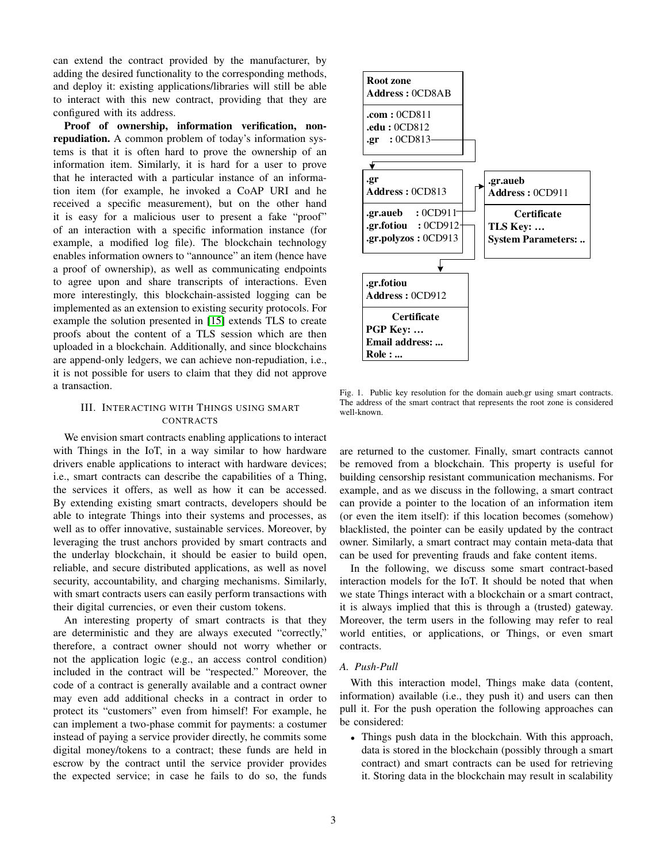can extend the contract provided by the manufacturer, by adding the desired functionality to the corresponding methods, and deploy it: existing applications/libraries will still be able to interact with this new contract, providing that they are configured with its address.

Proof of ownership, information verification, nonrepudiation. A common problem of today's information systems is that it is often hard to prove the ownership of an information item. Similarly, it is hard for a user to prove that he interacted with a particular instance of an information item (for example, he invoked a CoAP URI and he received a specific measurement), but on the other hand it is easy for a malicious user to present a fake "proof" of an interaction with a specific information instance (for example, a modified log file). The blockchain technology enables information owners to "announce" an item (hence have a proof of ownership), as well as communicating endpoints to agree upon and share transcripts of interactions. Even more interestingly, this blockchain-assisted logging can be implemented as an extension to existing security protocols. For example the solution presented in [\[15\]](#page-5-1) extends TLS to create proofs about the content of a TLS session which are then uploaded in a blockchain. Additionally, and since blockchains are append-only ledgers, we can achieve non-repudiation, i.e., it is not possible for users to claim that they did not approve a transaction.

# III. INTERACTING WITH THINGS USING SMART CONTRACTS

We envision smart contracts enabling applications to interact with Things in the IoT, in a way similar to how hardware drivers enable applications to interact with hardware devices; i.e., smart contracts can describe the capabilities of a Thing, the services it offers, as well as how it can be accessed. By extending existing smart contracts, developers should be able to integrate Things into their systems and processes, as well as to offer innovative, sustainable services. Moreover, by leveraging the trust anchors provided by smart contracts and the underlay blockchain, it should be easier to build open, reliable, and secure distributed applications, as well as novel security, accountability, and charging mechanisms. Similarly, with smart contracts users can easily perform transactions with their digital currencies, or even their custom tokens.

An interesting property of smart contracts is that they are deterministic and they are always executed "correctly," therefore, a contract owner should not worry whether or not the application logic (e.g., an access control condition) included in the contract will be "respected." Moreover, the code of a contract is generally available and a contract owner may even add additional checks in a contract in order to protect its "customers" even from himself! For example, he can implement a two-phase commit for payments: a costumer instead of paying a service provider directly, he commits some digital money/tokens to a contract; these funds are held in escrow by the contract until the service provider provides the expected service; in case he fails to do so, the funds



Fig. 1. Public key resolution for the domain aueb.gr using smart contracts. The address of the smart contract that represents the root zone is considered well-known.

are returned to the customer. Finally, smart contracts cannot be removed from a blockchain. This property is useful for building censorship resistant communication mechanisms. For example, and as we discuss in the following, a smart contract can provide a pointer to the location of an information item (or even the item itself): if this location becomes (somehow) blacklisted, the pointer can be easily updated by the contract owner. Similarly, a smart contract may contain meta-data that can be used for preventing frauds and fake content items.

In the following, we discuss some smart contract-based interaction models for the IoT. It should be noted that when we state Things interact with a blockchain or a smart contract, it is always implied that this is through a (trusted) gateway. Moreover, the term users in the following may refer to real world entities, or applications, or Things, or even smart contracts.

## *A. Push-Pull*

With this interaction model, Things make data (content, information) available (i.e., they push it) and users can then pull it. For the push operation the following approaches can be considered:

• Things push data in the blockchain. With this approach, data is stored in the blockchain (possibly through a smart contract) and smart contracts can be used for retrieving it. Storing data in the blockchain may result in scalability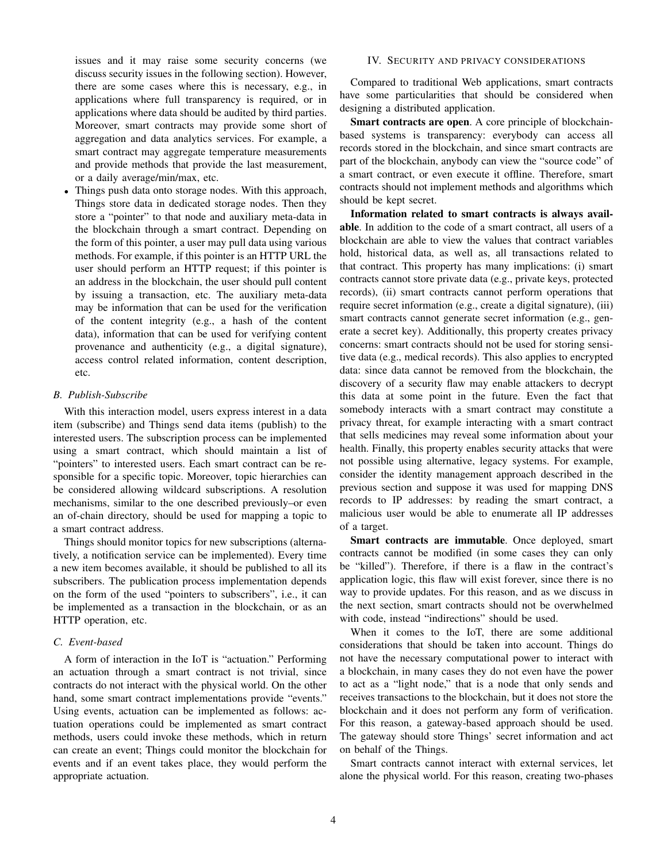issues and it may raise some security concerns (we discuss security issues in the following section). However, there are some cases where this is necessary, e.g., in applications where full transparency is required, or in applications where data should be audited by third parties. Moreover, smart contracts may provide some short of aggregation and data analytics services. For example, a smart contract may aggregate temperature measurements and provide methods that provide the last measurement, or a daily average/min/max, etc.

• Things push data onto storage nodes. With this approach, Things store data in dedicated storage nodes. Then they store a "pointer" to that node and auxiliary meta-data in the blockchain through a smart contract. Depending on the form of this pointer, a user may pull data using various methods. For example, if this pointer is an HTTP URL the user should perform an HTTP request; if this pointer is an address in the blockchain, the user should pull content by issuing a transaction, etc. The auxiliary meta-data may be information that can be used for the verification of the content integrity (e.g., a hash of the content data), information that can be used for verifying content provenance and authenticity (e.g., a digital signature), access control related information, content description, etc.

# *B. Publish-Subscribe*

With this interaction model, users express interest in a data item (subscribe) and Things send data items (publish) to the interested users. The subscription process can be implemented using a smart contract, which should maintain a list of "pointers" to interested users. Each smart contract can be responsible for a specific topic. Moreover, topic hierarchies can be considered allowing wildcard subscriptions. A resolution mechanisms, similar to the one described previously–or even an of-chain directory, should be used for mapping a topic to a smart contract address.

Things should monitor topics for new subscriptions (alternatively, a notification service can be implemented). Every time a new item becomes available, it should be published to all its subscribers. The publication process implementation depends on the form of the used "pointers to subscribers", i.e., it can be implemented as a transaction in the blockchain, or as an HTTP operation, etc.

#### *C. Event-based*

A form of interaction in the IoT is "actuation." Performing an actuation through a smart contract is not trivial, since contracts do not interact with the physical world. On the other hand, some smart contract implementations provide "events." Using events, actuation can be implemented as follows: actuation operations could be implemented as smart contract methods, users could invoke these methods, which in return can create an event; Things could monitor the blockchain for events and if an event takes place, they would perform the appropriate actuation.

## IV. SECURITY AND PRIVACY CONSIDERATIONS

Compared to traditional Web applications, smart contracts have some particularities that should be considered when designing a distributed application.

Smart contracts are open. A core principle of blockchainbased systems is transparency: everybody can access all records stored in the blockchain, and since smart contracts are part of the blockchain, anybody can view the "source code" of a smart contract, or even execute it offline. Therefore, smart contracts should not implement methods and algorithms which should be kept secret.

Information related to smart contracts is always available. In addition to the code of a smart contract, all users of a blockchain are able to view the values that contract variables hold, historical data, as well as, all transactions related to that contract. This property has many implications: (i) smart contracts cannot store private data (e.g., private keys, protected records), (ii) smart contracts cannot perform operations that require secret information (e.g., create a digital signature), (iii) smart contracts cannot generate secret information (e.g., generate a secret key). Additionally, this property creates privacy concerns: smart contracts should not be used for storing sensitive data (e.g., medical records). This also applies to encrypted data: since data cannot be removed from the blockchain, the discovery of a security flaw may enable attackers to decrypt this data at some point in the future. Even the fact that somebody interacts with a smart contract may constitute a privacy threat, for example interacting with a smart contract that sells medicines may reveal some information about your health. Finally, this property enables security attacks that were not possible using alternative, legacy systems. For example, consider the identity management approach described in the previous section and suppose it was used for mapping DNS records to IP addresses: by reading the smart contract, a malicious user would be able to enumerate all IP addresses of a target.

Smart contracts are immutable. Once deployed, smart contracts cannot be modified (in some cases they can only be "killed"). Therefore, if there is a flaw in the contract's application logic, this flaw will exist forever, since there is no way to provide updates. For this reason, and as we discuss in the next section, smart contracts should not be overwhelmed with code, instead "indirections" should be used.

When it comes to the IoT, there are some additional considerations that should be taken into account. Things do not have the necessary computational power to interact with a blockchain, in many cases they do not even have the power to act as a "light node," that is a node that only sends and receives transactions to the blockchain, but it does not store the blockchain and it does not perform any form of verification. For this reason, a gateway-based approach should be used. The gateway should store Things' secret information and act on behalf of the Things.

Smart contracts cannot interact with external services, let alone the physical world. For this reason, creating two-phases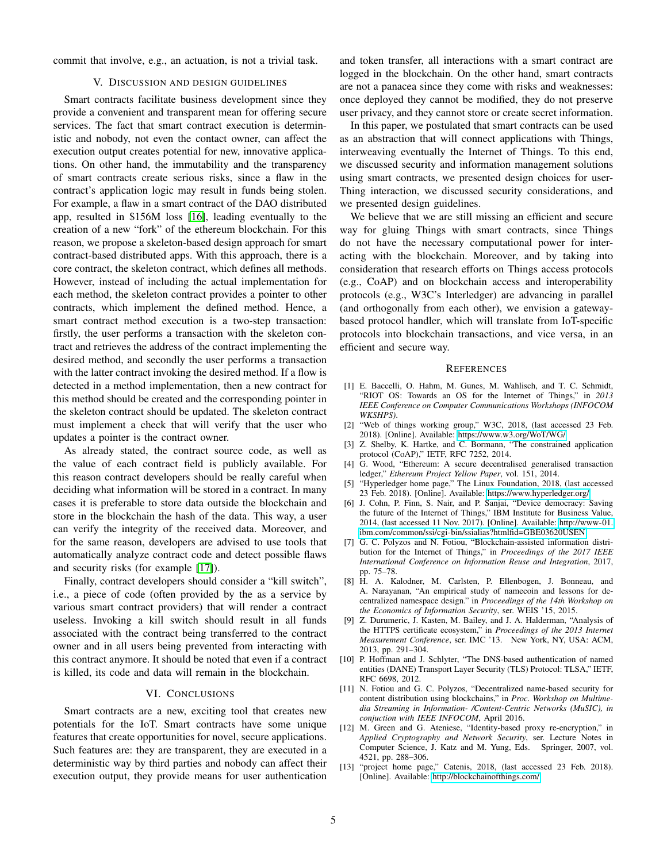commit that involve, e.g., an actuation, is not a trivial task.

#### V. DISCUSSION AND DESIGN GUIDELINES

Smart contracts facilitate business development since they provide a convenient and transparent mean for offering secure services. The fact that smart contract execution is deterministic and nobody, not even the contact owner, can affect the execution output creates potential for new, innovative applications. On other hand, the immutability and the transparency of smart contracts create serious risks, since a flaw in the contract's application logic may result in funds being stolen. For example, a flaw in a smart contract of the DAO distributed app, resulted in \$156M loss [\[16\]](#page-5-2), leading eventually to the creation of a new "fork" of the ethereum blockchain. For this reason, we propose a skeleton-based design approach for smart contract-based distributed apps. With this approach, there is a core contract, the skeleton contract, which defines all methods. However, instead of including the actual implementation for each method, the skeleton contract provides a pointer to other contracts, which implement the defined method. Hence, a smart contract method execution is a two-step transaction: firstly, the user performs a transaction with the skeleton contract and retrieves the address of the contract implementing the desired method, and secondly the user performs a transaction with the latter contract invoking the desired method. If a flow is detected in a method implementation, then a new contract for this method should be created and the corresponding pointer in the skeleton contract should be updated. The skeleton contract must implement a check that will verify that the user who updates a pointer is the contract owner.

As already stated, the contract source code, as well as the value of each contract field is publicly available. For this reason contract developers should be really careful when deciding what information will be stored in a contract. In many cases it is preferable to store data outside the blockchain and store in the blockchain the hash of the data. This way, a user can verify the integrity of the received data. Moreover, and for the same reason, developers are advised to use tools that automatically analyze contract code and detect possible flaws and security risks (for example [\[17\]](#page-5-3)).

Finally, contract developers should consider a "kill switch", i.e., a piece of code (often provided by the as a service by various smart contract providers) that will render a contract useless. Invoking a kill switch should result in all funds associated with the contract being transferred to the contract owner and in all users being prevented from interacting with this contract anymore. It should be noted that even if a contract is killed, its code and data will remain in the blockchain.

#### VI. CONCLUSIONS

Smart contracts are a new, exciting tool that creates new potentials for the IoT. Smart contracts have some unique features that create opportunities for novel, secure applications. Such features are: they are transparent, they are executed in a deterministic way by third parties and nobody can affect their execution output, they provide means for user authentication and token transfer, all interactions with a smart contract are logged in the blockchain. On the other hand, smart contracts are not a panacea since they come with risks and weaknesses: once deployed they cannot be modified, they do not preserve user privacy, and they cannot store or create secret information.

In this paper, we postulated that smart contracts can be used as an abstraction that will connect applications with Things, interweaving eventually the Internet of Things. To this end, we discussed security and information management solutions using smart contracts, we presented design choices for user-Thing interaction, we discussed security considerations, and we presented design guidelines.

We believe that we are still missing an efficient and secure way for gluing Things with smart contracts, since Things do not have the necessary computational power for interacting with the blockchain. Moreover, and by taking into consideration that research efforts on Things access protocols (e.g., CoAP) and on blockchain access and interoperability protocols (e.g., W3C's Interledger) are advancing in parallel (and orthogonally from each other), we envision a gatewaybased protocol handler, which will translate from IoT-specific protocols into blockchain transactions, and vice versa, in an efficient and secure way.

#### **REFERENCES**

- <span id="page-4-0"></span>[1] E. Baccelli, O. Hahm, M. Gunes, M. Wahlisch, and T. C. Schmidt, "RIOT OS: Towards an OS for the Internet of Things," in *2013 IEEE Conference on Computer Communications Workshops (INFOCOM WKSHPS)*.
- <span id="page-4-1"></span>[2] "Web of things working group," W3C, 2018, (last accessed 23 Feb. 2018). [Online]. Available:<https://www.w3.org/WoT/WG/>
- <span id="page-4-2"></span>[3] Z. Shelby, K. Hartke, and C. Bormann, "The constrained application protocol (CoAP)," IETF, RFC 7252, 2014.
- <span id="page-4-3"></span>[4] G. Wood, "Ethereum: A secure decentralised generalised transaction ledger," *Ethereum Project Yellow Paper*, vol. 151, 2014.
- <span id="page-4-4"></span>[5] "Hyperledger home page," The Linux Foundation, 2018, (last accessed 23 Feb. 2018). [Online]. Available:<https://www.hyperledger.org/>
- <span id="page-4-5"></span>[6] J. Cohn, P. Finn, S. Nair, and P. Sanjai, "Device democracy: Saving the future of the Internet of Things," IBM Institute for Business Value, 2014, (last accessed 11 Nov. 2017). [Online]. Available: [http://www-01.](http://www-01.ibm.com/common/ssi/cgi-bin/ssialias?htmlfid=GBE03620USEN) [ibm.com/common/ssi/cgi-bin/ssialias?htmlfid=GBE03620USEN](http://www-01.ibm.com/common/ssi/cgi-bin/ssialias?htmlfid=GBE03620USEN)
- <span id="page-4-6"></span>[7] G. C. Polyzos and N. Fotiou, "Blockchain-assisted information distribution for the Internet of Things," in *Proceedings of the 2017 IEEE International Conference on Information Reuse and Integration*, 2017, pp. 75–78.
- <span id="page-4-7"></span>[8] H. A. Kalodner, M. Carlsten, P. Ellenbogen, J. Bonneau, and A. Narayanan, "An empirical study of namecoin and lessons for decentralized namespace design." in *Proceedings of the 14th Workshop on the Economics of Information Security*, ser. WEIS '15, 2015.
- <span id="page-4-8"></span>[9] Z. Durumeric, J. Kasten, M. Bailey, and J. A. Halderman, "Analysis of the HTTPS certificate ecosystem," in *Proceedings of the 2013 Internet Measurement Conference*, ser. IMC '13. New York, NY, USA: ACM, 2013, pp. 291–304.
- <span id="page-4-9"></span>[10] P. Hoffman and J. Schlyter, "The DNS-based authentication of named entities (DANE) Transport Layer Security (TLS) Protocol: TLSA," IETF, RFC 6698, 2012.
- <span id="page-4-10"></span>[11] N. Fotiou and G. C. Polyzos, "Decentralized name-based security for content distribution using blockchains," in *Proc. Workshop on Multimedia Streaming in Information- /Content-Centric Networks (MuSIC), in conjuction with IEEE INFOCOM*, April 2016.
- <span id="page-4-11"></span>[12] M. Green and G. Ateniese, "Identity-based proxy re-encryption," in *Applied Cryptography and Network Security*, ser. Lecture Notes in Computer Science, J. Katz and M. Yung, Eds. Springer, 2007, vol. 4521, pp. 288–306.
- <span id="page-4-12"></span>[13] "project home page," Catenis, 2018, (last accessed 23 Feb. 2018). [Online]. Available:<http://blockchainofthings.com/>